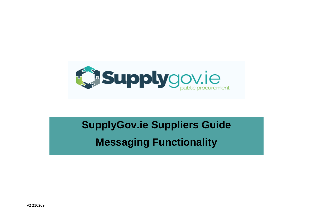

# **SupplyGov.ie Suppliers Guide Messaging Functionality**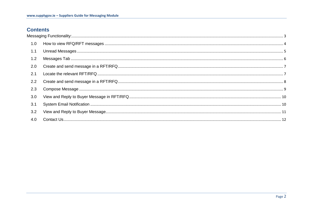## **Contents**

| 1.0 |  |
|-----|--|
| 1.1 |  |
| 1.2 |  |
| 2.0 |  |
| 2.1 |  |
| 2.2 |  |
| 2.3 |  |
| 3.0 |  |
| 3.1 |  |
| 3.2 |  |
| 4.0 |  |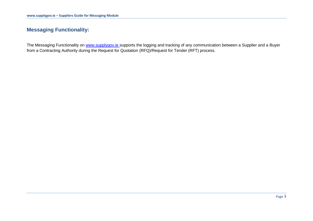## <span id="page-2-0"></span>**Messaging Functionality:**

The Messaging Functionality on [www.supplygov.ie](http://www.supplygov.ie/) supports the logging and tracking of any communication between a Supplier and a Buyer from a Contracting Authority during the Request for Quotation (RFQ)/Request for Tender (RFT) process.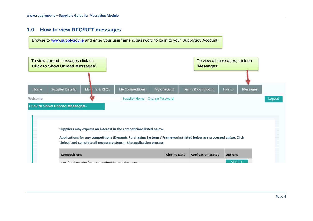## <span id="page-3-0"></span>**1.0 How to view RFQ/RFT messages**

Browse to [www.supplygov.ie](http://www.supplygov.ie/) and enter your username & password to login to your Supplygov Account.

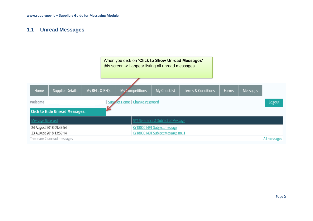## <span id="page-4-0"></span>**1.1 Unread Messages**

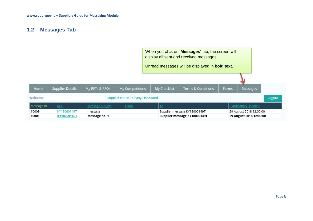## <span id="page-5-0"></span>**1.2 Messages Tab**

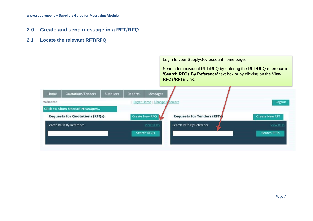- <span id="page-6-0"></span>**2.0 Create and send message in a RFT/RFQ**
- <span id="page-6-1"></span>**2.1 Locate the relevant RFT/RFQ**

Login to your SupplyGov account home page.

Search for individual RFT/RFQ by entering the RFT/RFQ reference in **'Search RFQs By Reference'** text box or by clicking on the **View RFQs/RFTs** Link.

|                                       | <b>Suppliers</b>   | Reports                              | Messages         |                                    |                                              |  |  |
|---------------------------------------|--------------------|--------------------------------------|------------------|------------------------------------|----------------------------------------------|--|--|
|                                       |                    |                                      |                  |                                    | Logout                                       |  |  |
|                                       |                    |                                      |                  |                                    |                                              |  |  |
| <b>Requests for Quotations (RFQs)</b> |                    |                                      |                  | <b>Requests for Tenders (RFTs)</b> | <b>Create New RFT</b>                        |  |  |
| Search RFQs By Reference              |                    |                                      | <b>View RFOs</b> | Search RFTs By Reference<br>W      | <b>View RFTs</b>                             |  |  |
|                                       |                    |                                      |                  |                                    | <b>Search RFTs</b>                           |  |  |
|                                       |                    |                                      |                  |                                    |                                              |  |  |
|                                       | Quotations/Tenders | <b>Click to Show Unread Messages</b> |                  | Create New RFQ   V<br>Search RFOs  | <b>Buyer Home</b>   Change P <i>I</i> ssword |  |  |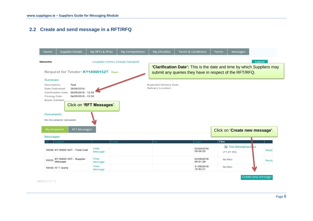# <span id="page-7-0"></span>**2.2 Create and send message in a RFT/RFQ**

| Home                                                         | <b>Supplier Details</b>                                                                                                                                           | My RFTs & RFQs                 | <b>My Competitions</b> | My Checklist                                         | <b>Terms &amp; Conditions</b>                                                                                                     | Forms    | Messages                                     |                    |  |  |
|--------------------------------------------------------------|-------------------------------------------------------------------------------------------------------------------------------------------------------------------|--------------------------------|------------------------|------------------------------------------------------|-----------------------------------------------------------------------------------------------------------------------------------|----------|----------------------------------------------|--------------------|--|--|
| Supplier Home   Change Password<br>Logout<br>Welcome         |                                                                                                                                                                   |                                |                        |                                                      |                                                                                                                                   |          |                                              |                    |  |  |
|                                                              | Request for Tender: KY18000152T Open                                                                                                                              |                                |                        |                                                      | 'Clarification Date': This is the date and time by which Suppliers may<br>submit any queries they have in respect of the RFT/RFQ. |          |                                              |                    |  |  |
| Summary<br>Description:<br>Closing Date:<br><b>Documents</b> | Test<br>28/08/2018<br>Date Published:<br>03/09/2018 - 12:00<br><b>Clarification Date:</b><br>04/09/2018 - 12:00<br><b>Buyer Contact:</b><br>No Documents Uploaded | Click on 'RFT Messages'.       |                        | <b>Expected Delivery Date:</b><br>Delivery Location: |                                                                                                                                   |          |                                              |                    |  |  |
| My Response<br><b>RFT Messages</b>                           |                                                                                                                                                                   |                                |                        |                                                      |                                                                                                                                   |          | Click on 'Create new message'.               |                    |  |  |
| <b>Messages</b>                                              |                                                                                                                                                                   |                                |                        |                                                      |                                                                                                                                   |          |                                              |                    |  |  |
|                                                              | Subject<br>10036 KY18000152T - Total Cost                                                                                                                         | From<br>View<br><b>Message</b> |                        | то.                                                  | Date<br>03/09/2018<br>09:06:20                                                                                                    | Files    | <b>E Test Messaging.docx</b><br>$(11.41$ KB) | Reply              |  |  |
| 10035                                                        | KY18000152T - Supplier<br>Message                                                                                                                                 | View<br>Message                |                        |                                                      | 03/09/2018<br>09:01:28                                                                                                            |          | No files                                     | Reply              |  |  |
|                                                              | 10034 RFT Query                                                                                                                                                   | View<br><b>Message</b>         |                        |                                                      | 31/08/2018<br>16:52:21                                                                                                            | No files |                                              |                    |  |  |
|                                                              |                                                                                                                                                                   |                                |                        |                                                      |                                                                                                                                   |          |                                              | Create new message |  |  |

IDEIAN LIMA $A = \frac{1}{2}$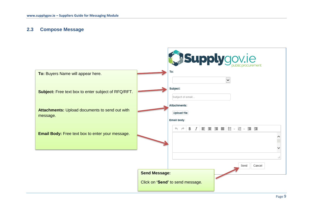#### <span id="page-8-0"></span>**2.3 Compose Message**

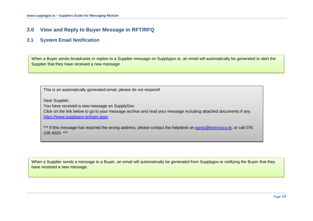## <span id="page-9-0"></span>**3.0 View and Reply to Buyer Message in RFT/RFQ**

#### <span id="page-9-1"></span>**3.1 System Email Notification**

When a Buyer sends broadcasts or replies to a Supplier message on Supplygov.ie, an email will automatically be generated to alert the Supplier that they have received a new message.

This is an automatically generated email, please do not respond!

Dear Supplier,

You have received a new message on SupplyGov.

Click on the link below to go to your message archive and read your message including attached documents if any. <https://www.supplygov.ie/login.aspx>

\*\*\* If this message has reached the wrong address, please contact the helpdesk on [eproc@kerrycoco.ie,](mailto:eproc@kerrycoco.ie) or call 076 106 4020. \*\*\*

When a Supplier sends a message to a Buyer, an email will automatically be generated from Supplygov.ie notifying the Buyer that they have received a new message.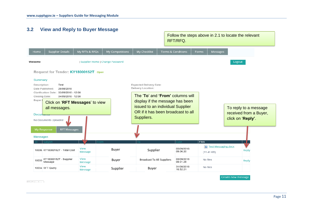<span id="page-10-0"></span>

 $DEL + D LL + A = 0$